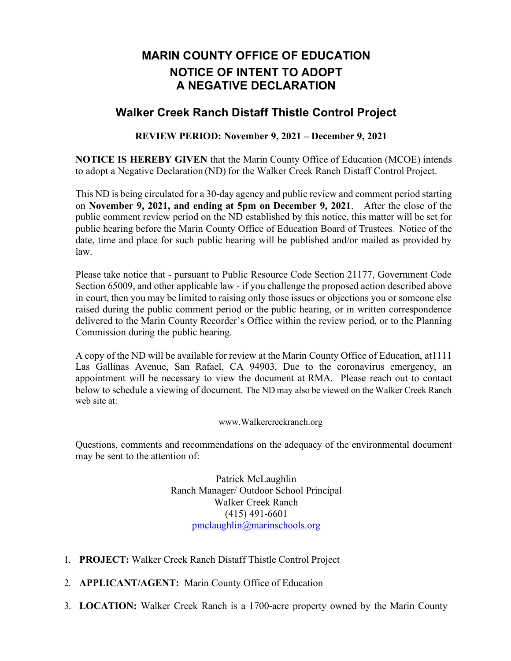## **MARIN COUNTY OFFICE OF EDUCATION NOTICE OF INTENT TO ADOPT A NEGATIVE DECLARATION**

## **Walker Creek Ranch Distaff Thistle Control Project**

## **REVIEW PERIOD: November 9, 2021 – December 9, 2021**

**NOTICE IS HEREBY GIVEN** that the Marin County Office of Education (MCOE) intends to adopt a Negative Declaration (ND) for the Walker Creek Ranch Distaff Control Project.

This ND is being circulated for a 30-day agency and public review and comment period starting on **November 9, 2021, and ending at 5pm on December 9, 2021**. After the close of the public comment review period on the ND established by this notice, this matter will be set for public hearing before the Marin County Office of Education Board of Trustees. Notice of the date, time and place for such public hearing will be published and/or mailed as provided by law.

Please take notice that - pursuant to Public Resource Code Section 21177, Government Code Section 65009, and other applicable law - if you challenge the proposed action described above in court, then you may be limited to raising only those issues or objections you or someone else raised during the public comment period or the public hearing, or in written correspondence delivered to the Marin County Recorder's Office within the review period, or to the Planning Commission during the public hearing.

A copy of the ND will be available for review at the Marin County Office of Education, at1111 Las Gallinas Avenue, San Rafael, CA 94903, Due to the coronavirus emergency, an appointment will be necessary to view the document at RMA. Please reach out to contact below to schedule a viewing of document. The ND may also be viewed on the Walker Creek Ranch web site at:

## www.Walkercreekranch.org

Questions, comments and recommendations on the adequacy of the environmental document may be sent to the attention of:

> Patrick McLaughlin Ranch Manager/ Outdoor School Principal Walker Creek Ranch (415) 491-6601 pmclaughlin@marinschools.org

- 1. **PROJECT:** Walker Creek Ranch Distaff Thistle Control Project
- 2. **APPLICANT/AGENT:** Marin County Office of Education
- 3. **LOCATION:** Walker Creek Ranch is a 1700-acre property owned by the Marin County